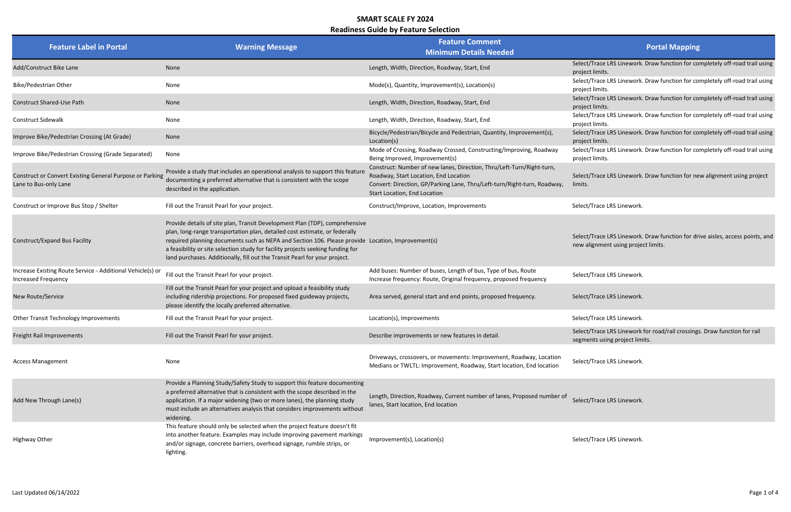#### Readiness Guide by Feature Selection

### Portal Mapping

lect/Trace LRS Linework. Draw function for completely off-road trail using pject limits.

lect/Trace LRS Linework. Draw function for completely off-road trail using oject limits.

lect/Trace LRS Linework. Draw function for completely off-road trail using pject limits.

lect/Trace LRS Linework. Draw function for completely off-road trail using oject limits.

lect/Trace LRS Linework. Draw function for completely off-road trail using pject limits.

lect/Trace LRS Linework. Draw function for completely off-road trail using pject limits.

lect/Trace LRS Linework. Draw function for new alignment using project lits.

lect/Trace LRS Linework. Draw function for drive aisles, access points, and w alignment using project limits.

lect/Trace LRS Linework for road/rail crossings. Draw function for rail gments using project limits.

| <b>Feature Label in Portal</b>                                                           | <b>Warning Message</b>                                                                                                                                                                                                                                                                                                                                                                                                          | <b>Feature Comment</b><br><b>Minimum Details Needed</b>                                                                                                                                                                    |                                                         |
|------------------------------------------------------------------------------------------|---------------------------------------------------------------------------------------------------------------------------------------------------------------------------------------------------------------------------------------------------------------------------------------------------------------------------------------------------------------------------------------------------------------------------------|----------------------------------------------------------------------------------------------------------------------------------------------------------------------------------------------------------------------------|---------------------------------------------------------|
| Add/Construct Bike Lane                                                                  | None                                                                                                                                                                                                                                                                                                                                                                                                                            | Length, Width, Direction, Roadway, Start, End                                                                                                                                                                              | Select/Trace LRS Linework.<br>project limits.           |
| Bike/Pedestrian Other                                                                    | None                                                                                                                                                                                                                                                                                                                                                                                                                            | Mode(s), Quantity, Improvement(s), Location(s)                                                                                                                                                                             | Select/Trace LRS Linework.<br>project limits.           |
| <b>Construct Shared-Use Path</b>                                                         | None                                                                                                                                                                                                                                                                                                                                                                                                                            | Length, Width, Direction, Roadway, Start, End                                                                                                                                                                              | Select/Trace LRS Linework.<br>project limits.           |
| <b>Construct Sidewalk</b>                                                                | None                                                                                                                                                                                                                                                                                                                                                                                                                            | Length, Width, Direction, Roadway, Start, End                                                                                                                                                                              | Select/Trace LRS Linework.<br>project limits.           |
| Improve Bike/Pedestrian Crossing (At Grade)                                              | None                                                                                                                                                                                                                                                                                                                                                                                                                            | Bicycle/Pedestrian/Bicycle and Pedestrian, Quantity, Improvement(s),<br>Location(s)                                                                                                                                        | Select/Trace LRS Linework.<br>project limits.           |
| Improve Bike/Pedestrian Crossing (Grade Separated)                                       | None                                                                                                                                                                                                                                                                                                                                                                                                                            | Mode of Crossing, Roadway Crossed, Constructing/Improving, Roadway<br>Being Improved, Improvement(s)                                                                                                                       | Select/Trace LRS Linework.<br>project limits.           |
| Construct or Convert Existing General Purpose or Parking<br>Lane to Bus-only Lane        | Provide a study that includes an operational analysis to support this feature<br>documenting a preferred alternative that is consistent with the scope<br>described in the application.                                                                                                                                                                                                                                         | Construct: Number of new lanes, Direction, Thru/Left-Turn/Right-turn,<br>Roadway, Start Location, End Location<br>Convert: Direction, GP/Parking Lane, Thru/Left-turn/Right-turn, Roadway,<br>Start Location, End Location | Select/Trace LRS Linework.<br>limits.                   |
| Construct or Improve Bus Stop / Shelter                                                  | Fill out the Transit Pearl for your project.                                                                                                                                                                                                                                                                                                                                                                                    | Construct/Improve, Location, Improvements                                                                                                                                                                                  | Select/Trace LRS Linework.                              |
| <b>Construct/Expand Bus Facility</b>                                                     | Provide details of site plan, Transit Development Plan (TDP), comprehensive<br>plan, long-range transportation plan, detailed cost estimate, or federally<br>required planning documents such as NEPA and Section 106. Please provide Location, Improvement(s)<br>a feasibility or site selection study for facility projects seeking funding for<br>land purchases. Additionally, fill out the Transit Pearl for your project. |                                                                                                                                                                                                                            | Select/Trace LRS Linework.<br>new alignment using proje |
| Increase Existing Route Service - Additional Vehicle(s) or<br><b>Increased Frequency</b> | Fill out the Transit Pearl for your project.                                                                                                                                                                                                                                                                                                                                                                                    | Add buses: Number of buses, Length of bus, Type of bus, Route<br>Increase frequency: Route, Original frequency, proposed frequency                                                                                         | Select/Trace LRS Linework.                              |
| New Route/Service                                                                        | Fill out the Transit Pearl for your project and upload a feasibility study<br>including ridership projections. For proposed fixed guideway projects,<br>please identify the locally preferred alternative.                                                                                                                                                                                                                      | Area served, general start and end points, proposed frequency.                                                                                                                                                             | Select/Trace LRS Linework.                              |
| Other Transit Technology Improvements                                                    | Fill out the Transit Pearl for your project.                                                                                                                                                                                                                                                                                                                                                                                    | Location(s), Improvements                                                                                                                                                                                                  | Select/Trace LRS Linework.                              |
| Freight Rail Improvements                                                                | Fill out the Transit Pearl for your project.                                                                                                                                                                                                                                                                                                                                                                                    | Describe improvements or new features in detail.                                                                                                                                                                           | Select/Trace LRS Linework<br>segments using project lim |
| <b>Access Management</b>                                                                 | None                                                                                                                                                                                                                                                                                                                                                                                                                            | Driveways, crossovers, or movements: Improvement, Roadway, Location<br>Medians or TWLTL: Improvement, Roadway, Start location, End location                                                                                | Select/Trace LRS Linework.                              |
| Add New Through Lane(s)                                                                  | Provide a Planning Study/Safety Study to support this feature documenting<br>a preferred alternative that is consistent with the scope described in the<br>application. If a major widening (two or more lanes), the planning study<br>must include an alternatives analysis that considers improvements without<br>widening.                                                                                                   | Length, Direction, Roadway, Current number of lanes, Proposed number of<br>lanes, Start location, End location                                                                                                             | Select/Trace LRS Linework.                              |
| <b>Highway Other</b>                                                                     | This feature should only be selected when the project feature doesn't fit<br>into another feature. Examples may include improving pavement markings<br>and/or signage, concrete barriers, overhead signage, rumble strips, or<br>lighting.                                                                                                                                                                                      | Improvement(s), Location(s)                                                                                                                                                                                                | Select/Trace LRS Linework.                              |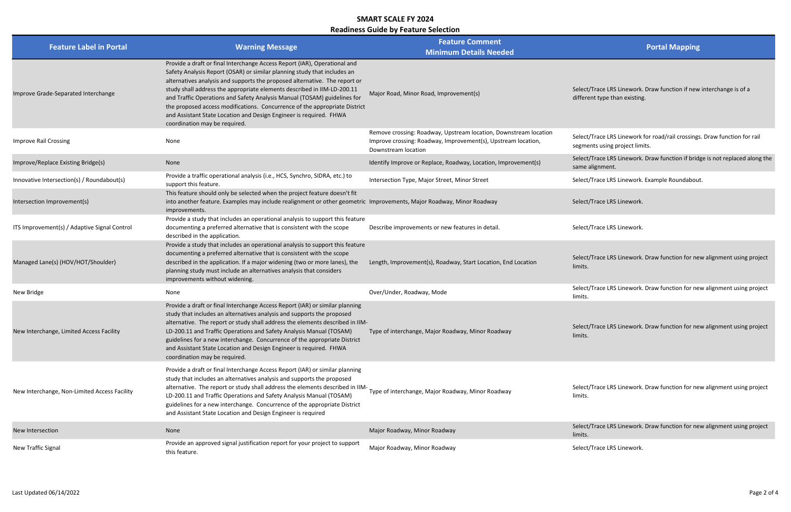#### Readiness Guide by Feature Selection

lect/Trace LRS Linework. Draw function if new interchange is of a ferent type than existing.

lect/Trace LRS Linework for road/rail crossings. Draw function for rail gments using project limits.

Iect/Trace LRS Linework. Draw function if bridge is not replaced along the me alignment.

lect/Trace LRS Linework. Example Roundabout.

lect/Trace LRS Linework. Draw function for new alignment using project hits.

lect/Trace LRS Linework. Draw function for new alignment using project hits.

lect/Trace LRS Linework. Draw function for new alignment using project hits.

lect/Trace LRS Linework. Draw function for new alignment using project hits.

lect/Trace LRS Linework. Draw function for new alignment using project hits.

| <b>Feature Label in Portal</b>               | <b>Warning Message</b>                                                                                                                                                                                                                                                                                                                                                                                                                                                                                                                                                          | <b>Feature Comment</b><br><b>Minimum Details Needed</b>                                                                                                  |                                                            |
|----------------------------------------------|---------------------------------------------------------------------------------------------------------------------------------------------------------------------------------------------------------------------------------------------------------------------------------------------------------------------------------------------------------------------------------------------------------------------------------------------------------------------------------------------------------------------------------------------------------------------------------|----------------------------------------------------------------------------------------------------------------------------------------------------------|------------------------------------------------------------|
| Improve Grade-Separated Interchange          | Provide a draft or final Interchange Access Report (IAR), Operational and<br>Safety Analysis Report (OSAR) or similar planning study that includes an<br>alternatives analysis and supports the proposed alternative. The report or<br>study shall address the appropriate elements described in IIM-LD-200.11<br>and Traffic Operations and Safety Analysis Manual (TOSAM) guidelines for<br>the proposed access modifications. Concurrence of the appropriate District<br>and Assistant State Location and Design Engineer is required. FHWA<br>coordination may be required. | Major Road, Minor Road, Improvement(s)                                                                                                                   | Select/Trace LRS Linework.<br>different type than existing |
| <b>Improve Rail Crossing</b>                 | None                                                                                                                                                                                                                                                                                                                                                                                                                                                                                                                                                                            | Remove crossing: Roadway, Upstream location, Downstream location<br>Improve crossing: Roadway, Improvement(s), Upstream location,<br>Downstream location | Select/Trace LRS Linework<br>segments using project lim    |
| Improve/Replace Existing Bridge(s)           | None                                                                                                                                                                                                                                                                                                                                                                                                                                                                                                                                                                            | Identify Improve or Replace, Roadway, Location, Improvement(s)                                                                                           | Select/Trace LRS Linework.<br>same alignment.              |
| Innovative Intersection(s) / Roundabout(s)   | Provide a traffic operational analysis (i.e., HCS, Synchro, SIDRA, etc.) to<br>support this feature.                                                                                                                                                                                                                                                                                                                                                                                                                                                                            | Intersection Type, Major Street, Minor Street                                                                                                            | Select/Trace LRS Linework.                                 |
| Intersection Improvement(s)                  | This feature should only be selected when the project feature doesn't fit<br>into another feature. Examples may include realignment or other geometric Improvements, Major Roadway, Minor Roadway<br>improvements.                                                                                                                                                                                                                                                                                                                                                              |                                                                                                                                                          | Select/Trace LRS Linework.                                 |
| ITS Improvement(s) / Adaptive Signal Control | Provide a study that includes an operational analysis to support this feature<br>documenting a preferred alternative that is consistent with the scope<br>described in the application.                                                                                                                                                                                                                                                                                                                                                                                         | Describe improvements or new features in detail.                                                                                                         | Select/Trace LRS Linework.                                 |
| Managed Lane(s) (HOV/HOT/Shoulder)           | Provide a study that includes an operational analysis to support this feature<br>documenting a preferred alternative that is consistent with the scope<br>described in the application. If a major widening (two or more lanes), the<br>planning study must include an alternatives analysis that considers<br>improvements without widening.                                                                                                                                                                                                                                   | Length, Improvement(s), Roadway, Start Location, End Location                                                                                            | Select/Trace LRS Linework.<br>limits.                      |
| New Bridge                                   | None                                                                                                                                                                                                                                                                                                                                                                                                                                                                                                                                                                            | Over/Under, Roadway, Mode                                                                                                                                | Select/Trace LRS Linework.<br>limits.                      |
| New Interchange, Limited Access Facility     | Provide a draft or final Interchange Access Report (IAR) or similar planning<br>study that includes an alternatives analysis and supports the proposed<br>alternative. The report or study shall address the elements described in IIM-<br>LD-200.11 and Traffic Operations and Safety Analysis Manual (TOSAM)<br>guidelines for a new interchange. Concurrence of the appropriate District<br>and Assistant State Location and Design Engineer is required. FHWA<br>coordination may be required.                                                                              | Type of interchange, Major Roadway, Minor Roadway                                                                                                        | Select/Trace LRS Linework.<br>limits.                      |
| New Interchange, Non-Limited Access Facility | Provide a draft or final Interchange Access Report (IAR) or similar planning<br>study that includes an alternatives analysis and supports the proposed<br>alternative. The report or study shall address the elements described in IIM-<br>LD-200.11 and Traffic Operations and Safety Analysis Manual (TOSAM)<br>guidelines for a new interchange. Concurrence of the appropriate District<br>and Assistant State Location and Design Engineer is required                                                                                                                     | Type of interchange, Major Roadway, Minor Roadway                                                                                                        | Select/Trace LRS Linework.<br>limits.                      |
| New Intersection                             | None                                                                                                                                                                                                                                                                                                                                                                                                                                                                                                                                                                            | Major Roadway, Minor Roadway                                                                                                                             | Select/Trace LRS Linework.<br>limits.                      |
| New Traffic Signal                           | Provide an approved signal justification report for your project to support<br>this feature.                                                                                                                                                                                                                                                                                                                                                                                                                                                                                    | Major Roadway, Minor Roadway                                                                                                                             | Select/Trace LRS Linework.                                 |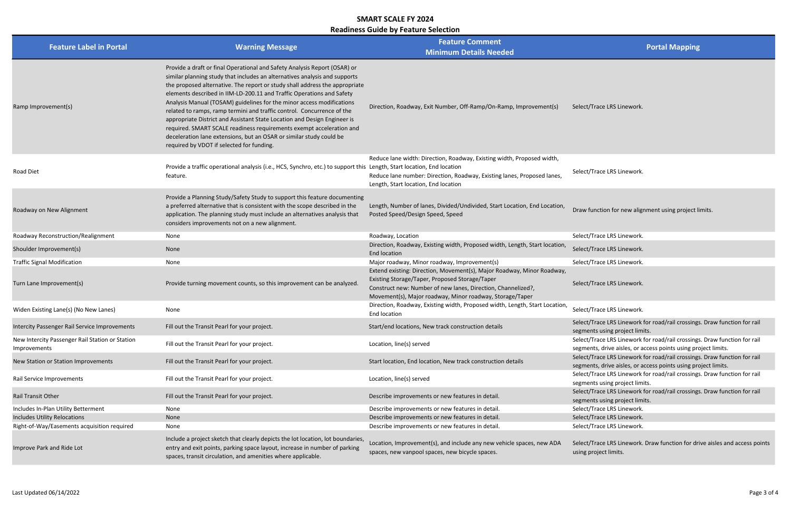#### Readiness Guide by Feature Selection

## Portal Mapping

aw function for new alignment using project limits.

- Iect/Trace LRS Linework for road/rail crossings. Draw function for rail gments using project limits.
- lect/Trace LRS Linework for road/rail crossings. Draw function for rail gments, drive aisles, or access points using project limits.
- lect/Trace LRS Linework for road/rail crossings. Draw function for rail gments, drive aisles, or access points using project limits.
- lect/Trace LRS Linework for road/rail crossings. Draw function for rail gments using project limits.
- lect/Trace LRS Linework for road/rail crossings. Draw function for rail gments using project limits.
- 
- 
- 

lect/Trace LRS Linework. Draw function for drive aisles and access points ing project limits.

| <b>Feature Label in Portal</b>                                  | <b>Warning Message</b>                                                                                                                                                                                                                                                                                                                                                                                                                                                                                                                                                                                                                                                                                                                     | <b>Feature Comment</b><br><b>Minimum Details Needed</b>                                                                                                                                                                                              |                                                           |
|-----------------------------------------------------------------|--------------------------------------------------------------------------------------------------------------------------------------------------------------------------------------------------------------------------------------------------------------------------------------------------------------------------------------------------------------------------------------------------------------------------------------------------------------------------------------------------------------------------------------------------------------------------------------------------------------------------------------------------------------------------------------------------------------------------------------------|------------------------------------------------------------------------------------------------------------------------------------------------------------------------------------------------------------------------------------------------------|-----------------------------------------------------------|
| Ramp Improvement(s)                                             | Provide a draft or final Operational and Safety Analysis Report (OSAR) or<br>similar planning study that includes an alternatives analysis and supports<br>the proposed alternative. The report or study shall address the appropriate<br>elements described in IIM-LD-200.11 and Traffic Operations and Safety<br>Analysis Manual (TOSAM) guidelines for the minor access modifications<br>related to ramps, ramp termini and traffic control. Concurrence of the<br>appropriate District and Assistant State Location and Design Engineer is<br>required. SMART SCALE readiness requirements exempt acceleration and<br>deceleration lane extensions, but an OSAR or similar study could be<br>required by VDOT if selected for funding. | Direction, Roadway, Exit Number, Off-Ramp/On-Ramp, Improvement(s)                                                                                                                                                                                    | Select/Trace LRS Linework.                                |
| <b>Road Diet</b>                                                | Provide a traffic operational analysis (i.e., HCS, Synchro, etc.) to support this Length, Start location, End location<br>feature.                                                                                                                                                                                                                                                                                                                                                                                                                                                                                                                                                                                                         | Reduce lane width: Direction, Roadway, Existing width, Proposed width,<br>Reduce lane number: Direction, Roadway, Existing lanes, Proposed lanes,<br>Length, Start location, End location                                                            | Select/Trace LRS Linework.                                |
| Roadway on New Alignment                                        | Provide a Planning Study/Safety Study to support this feature documenting<br>a preferred alternative that is consistent with the scope described in the<br>application. The planning study must include an alternatives analysis that<br>considers improvements not on a new alignment.                                                                                                                                                                                                                                                                                                                                                                                                                                                    | Length, Number of lanes, Divided/Undivided, Start Location, End Location,<br>Posted Speed/Design Speed, Speed                                                                                                                                        | Draw function for new aligi                               |
| Roadway Reconstruction/Realignment                              | None                                                                                                                                                                                                                                                                                                                                                                                                                                                                                                                                                                                                                                                                                                                                       | Roadway, Location                                                                                                                                                                                                                                    | Select/Trace LRS Linework.                                |
| Shoulder Improvement(s)                                         | None                                                                                                                                                                                                                                                                                                                                                                                                                                                                                                                                                                                                                                                                                                                                       | Direction, Roadway, Existing width, Proposed width, Length, Start location,<br>End location                                                                                                                                                          | Select/Trace LRS Linework.                                |
| <b>Traffic Signal Modification</b>                              | None                                                                                                                                                                                                                                                                                                                                                                                                                                                                                                                                                                                                                                                                                                                                       | Major roadway, Minor roadway, Improvement(s)                                                                                                                                                                                                         | Select/Trace LRS Linework.                                |
| Turn Lane Improvement(s)                                        | Provide turning movement counts, so this improvement can be analyzed.                                                                                                                                                                                                                                                                                                                                                                                                                                                                                                                                                                                                                                                                      | Extend existing: Direction, Movement(s), Major Roadway, Minor Roadway,<br>Existing Storage/Taper, Proposed Storage/Taper<br>Construct new: Number of new lanes, Direction, Channelized?,<br>Movement(s), Major roadway, Minor roadway, Storage/Taper | Select/Trace LRS Linework.                                |
| Widen Existing Lane(s) (No New Lanes)                           | None                                                                                                                                                                                                                                                                                                                                                                                                                                                                                                                                                                                                                                                                                                                                       | Direction, Roadway, Existing width, Proposed width, Length, Start Location,<br>End location                                                                                                                                                          | Select/Trace LRS Linework.                                |
| Intercity Passenger Rail Service Improvements                   | Fill out the Transit Pearl for your project.                                                                                                                                                                                                                                                                                                                                                                                                                                                                                                                                                                                                                                                                                               | Start/end locations, New track construction details                                                                                                                                                                                                  | Select/Trace LRS Linework<br>segments using project lim   |
| New Intercity Passenger Rail Station or Station<br>Improvements | Fill out the Transit Pearl for your project.                                                                                                                                                                                                                                                                                                                                                                                                                                                                                                                                                                                                                                                                                               | Location, line(s) served                                                                                                                                                                                                                             | Select/Trace LRS Linework<br>segments, drive aisles, or a |
| New Station or Station Improvements                             | Fill out the Transit Pearl for your project.                                                                                                                                                                                                                                                                                                                                                                                                                                                                                                                                                                                                                                                                                               | Start location, End location, New track construction details                                                                                                                                                                                         | Select/Trace LRS Linework<br>segments, drive aisles, or a |
| Rail Service Improvements                                       | Fill out the Transit Pearl for your project.                                                                                                                                                                                                                                                                                                                                                                                                                                                                                                                                                                                                                                                                                               | Location, line(s) served                                                                                                                                                                                                                             | Select/Trace LRS Linework<br>segments using project lim   |
| <b>Rail Transit Other</b>                                       | Fill out the Transit Pearl for your project.                                                                                                                                                                                                                                                                                                                                                                                                                                                                                                                                                                                                                                                                                               | Describe improvements or new features in detail.                                                                                                                                                                                                     | Select/Trace LRS Linework<br>segments using project lim   |
| Includes In-Plan Utility Betterment                             | None                                                                                                                                                                                                                                                                                                                                                                                                                                                                                                                                                                                                                                                                                                                                       | Describe improvements or new features in detail.                                                                                                                                                                                                     | Select/Trace LRS Linework.                                |
| <b>Includes Utility Relocations</b>                             | None                                                                                                                                                                                                                                                                                                                                                                                                                                                                                                                                                                                                                                                                                                                                       | Describe improvements or new features in detail.                                                                                                                                                                                                     | Select/Trace LRS Linework.                                |
| Right-of-Way/Easements acquisition required                     | None                                                                                                                                                                                                                                                                                                                                                                                                                                                                                                                                                                                                                                                                                                                                       | Describe improvements or new features in detail.                                                                                                                                                                                                     | Select/Trace LRS Linework.                                |
| Improve Park and Ride Lot                                       | Include a project sketch that clearly depicts the lot location, lot boundaries,<br>entry and exit points, parking space layout, increase in number of parking<br>spaces, transit circulation, and amenities where applicable.                                                                                                                                                                                                                                                                                                                                                                                                                                                                                                              | Location, Improvement(s), and include any new vehicle spaces, new ADA<br>spaces, new vanpool spaces, new bicycle spaces.                                                                                                                             | Select/Trace LRS Linework.<br>using project limits.       |